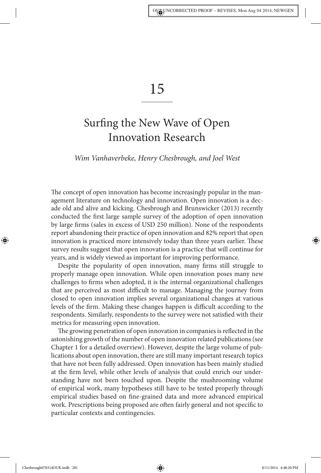# 15

# Surfing the New Wave of Open Innovation Research

#### Wim Vanhaverbeke, Henry Chesbrough, and Joel West

The concept of open innovation has become increasingly popular in the management literature on technology and innovation. Open innovation is a decade old and alive and kicking. Chesbrough and Brunswicker (2013) recently conducted the first large sample survey of the adoption of open innovation by large firms (sales in excess of USD 250 million). None of the respondents report abandoning their practice of open innovation and 82% report that open innovation is practiced more intensively today than three years earlier. These survey results suggest that open innovation is a practice that will continue for years, and is widely viewed as important for improving performance.

Despite the popularity of open innovation, many firms still struggle to properly manage open innovation. While open innovation poses many new challenges to firms when adopted, it is the internal organizational challenges that are perceived as most difficult to manage. Managing the journey from closed to open innovation implies several organizational changes at various levels of the firm. Making these changes happen is difficult according to the respondents. Similarly, respondents to the survey were not satisfied with their metrics for measuring open innovation.

The growing penetration of open innovation in companies is reflected in the astonishing growth of the number of open innovation related publications (see Chapter 1 for a detailed overview). However, despite the large volume of publications about open innovation, there are still many important research topics that have not been fully addressed. Open innovation has been mainly studied at the firm level, while other levels of analysis that could enrich our understanding have not been touched upon. Despite the mushrooming volume of empirical work, many hypotheses still have to be tested properly through empirical studies based on fine-grained data and more advanced empirical work. Prescriptions being proposed are often fairly general and not specific to particular contexts and contingencies.

Chesbrough070314OUK.indb 281 8/11/2014 4:48:20 PM

◈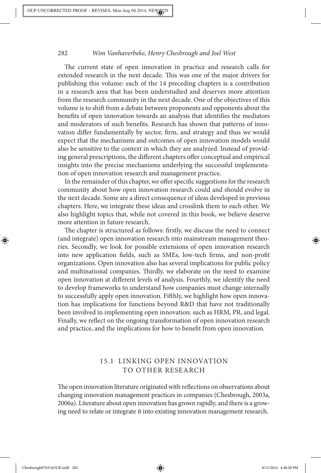The current state of open innovation in practice and research calls for extended research in the next decade. This was one of the major drivers for publishing this volume: each of the 14 preceding chapters is a contribution in a research area that has been understudied and deserves more attention from the research community in the next decade. One of the objectives of this volume is to shift from a debate between proponents and opponents about the benefits of open innovation towards an analysis that identifies the mediators and moderators of such benefits. Research has shown that patterns of innovation differ fundamentally by sector, firm, and strategy and thus we would expect that the mechanisms and outcomes of open innovation models would also be sensitive to the context in which they are analyzed. Instead of providing general prescriptions, the different chapters offer conceptual and empirical insights into the precise mechanisms underlying the successful implementation of open innovation research and management practice.

In the remainder of this chapter, we offer specific suggestions for the research community about how open innovation research could and should evolve in the next decade. Some are a direct consequence of ideas developed in previous chapters. Here, we integrate these ideas and crosslink them to each other. We also highlight topics that, while not covered in this book, we believe deserve more attention in future research.

The chapter is structured as follows: firstly, we discuss the need to connect (and integrate) open innovation research into mainstream management theories. Secondly, we look for possible extensions of open innovation research into new application fields, such as SMEs, low-tech firms, and non-profit organizations. Open innovation also has several implications for public policy and multinational companies. Thirdly, we elaborate on the need to examine open innovation at different levels of analysis. Fourthly, we identify the need to develop frameworks to understand how companies must change internally to successfully apply open innovation. Fifthly, we highlight how open innovation has implications for functions beyond R&D that have not traditionally been involved in implementing open innovation: such as HRM, PR, and legal. Finally, we reflect on the ongoing transformation of open innovation research and practice, and the implications for how to benefit from open innovation.

# 15.1 LINKING OPEN INNOVATION TO OTHER RESEARCH

The open innovation literature originated with reflections on observations about changing innovation management practices in companies (Chesbrough, 2003a, 2006a). Literature about open innovation has grown rapidly, and there is a growing need to relate or integrate it into existing innovation management research.

◈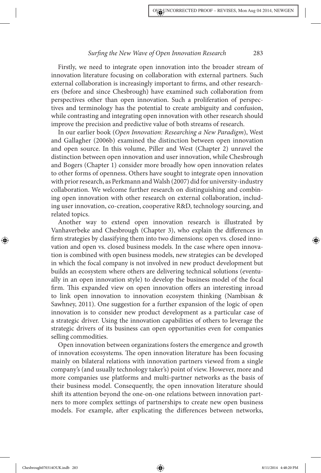Firstly, we need to integrate open innovation into the broader stream of innovation literature focusing on collaboration with external partners. Such external collaboration is increasingly important to firms, and other researchers (before and since Chesbrough) have examined such collaboration from perspectives other than open innovation. Such a proliferation of perspectives and terminology has the potential to create ambiguity and confusion, while contrasting and integrating open innovation with other research should improve the precision and predictive value of both streams of research.

In our earlier book (Open Innovation: Researching a New Paradigm), West and Gallagher (2006b) examined the distinction between open innovation and open source. In this volume, Piller and West (Chapter 2) unravel the distinction between open innovation and user innovation, while Chesbrough and Bogers (Chapter 1) consider more broadly how open innovation relates to other forms of openness. Others have sought to integrate open innovation with prior research, as Perkmann and Walsh (2007) did for university-industry collaboration. We welcome further research on distinguishing and combining open innovation with other research on external collaboration, including user innovation, co-creation, cooperative R&D, technology sourcing, and related topics.

Another way to extend open innovation research is illustrated by Vanhaverbeke and Chesbrough (Chapter 3), who explain the differences in firm strategies by classifying them into two dimensions: open vs. closed innovation and open vs. closed business models. In the case where open innovation is combined with open business models, new strategies can be developed in which the focal company is not involved in new product development but builds an ecosystem where others are delivering technical solutions (eventually in an open innovation style) to develop the business model of the focal firm. This expanded view on open innovation offers an interesting inroad to link open innovation to innovation ecosystem thinking (Nambisan & Sawhney, 2011). One suggestion for a further expansion of the logic of open innovation is to consider new product development as a particular case of a strategic driver. Using the innovation capabilities of others to leverage the strategic drivers of its business can open opportunities even for companies selling commodities.

Open innovation between organizations fosters the emergence and growth of innovation ecosystems. The open innovation literature has been focusing mainly on bilateral relations with innovation partners viewed from a single company's (and usually technology taker's) point of view. However, more and more companies use platforms and multi-partner networks as the basis of their business model. Consequently, the open innovation literature should shift its attention beyond the one-on-one relations between innovation partners to more complex settings of partnerships to create new open business models. For example, after explicating the differences between networks,

Chesbrough070314OUK.indb 283 8/11/2014 4:48:20 PM

◈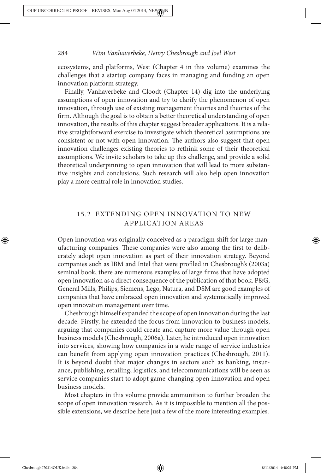ecosystems, and platforms, West (Chapter 4 in this volume) examines the challenges that a startup company faces in managing and funding an open innovation platform strategy.

Finally, Vanhaverbeke and Cloodt (Chapter 14) dig into the underlying assumptions of open innovation and try to clarify the phenomenon of open innovation, through use of existing management theories and theories of the firm. Although the goal is to obtain a better theoretical understanding of open innovation, the results of this chapter suggest broader applications. It is a relative straightforward exercise to investigate which theoretical assumptions are consistent or not with open innovation. The authors also suggest that open innovation challenges existing theories to rethink some of their theoretical assumptions. We invite scholars to take up this challenge, and provide a solid theoretical underpinning to open innovation that will lead to more substantive insights and conclusions. Such research will also help open innovation play a more central role in innovation studies.

# 15.2 EXTENDING OPEN INNOVATION TO NEW APPLICATION AREAS

Open innovation was originally conceived as a paradigm shift for large manufacturing companies. These companies were also among the first to deliberately adopt open innovation as part of their innovation strategy. Beyond companies such as IBM and Intel that were profiled in Chesbrough's (2003a) seminal book, there are numerous examples of large firms that have adopted open innovation as a direct consequence of the publication of that book. P&G, General Mills, Philips, Siemens, Lego, Natura, and DSM are good examples of companies that have embraced open innovation and systematically improved open innovation management over time.

Chesbrough himself expanded the scope of open innovation during the last decade. Firstly, he extended the focus from innovation to business models, arguing that companies could create and capture more value through open business models (Chesbrough, 2006a). Later, he introduced open innovation into services, showing how companies in a wide range of service industries can benefit from applying open innovation practices (Chesbrough, 2011). It is beyond doubt that major changes in sectors such as banking, insurance, publishing, retailing, logistics, and telecommunications will be seen as service companies start to adopt game-changing open innovation and open business models.

Most chapters in this volume provide ammunition to further broaden the scope of open innovation research. As it is impossible to mention all the possible extensions, we describe here just a few of the more interesting examples.

Chesbrough070314OUK.indb 284 8/11/2014 4:48:21 PM

◈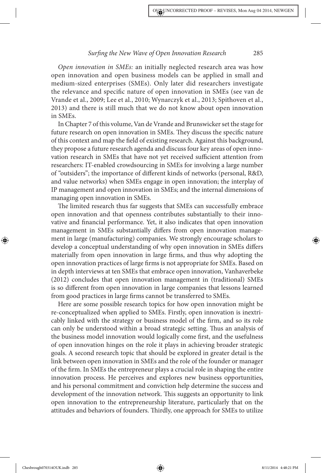Open innovation in SMEs: an initially neglected research area was how open innovation and open business models can be applied in small and medium-sized enterprises (SMEs). Only later did researchers investigate the relevance and specific nature of open innovation in SMEs (see van de Vrande et al., 2009; Lee et al., 2010; Wynarczyk et al., 2013; Spithoven et al., 2013) and there is still much that we do not know about open innovation in SMEs.

In Chapter 7 of this volume, Van de Vrande and Brunswicker set the stage for future research on open innovation in SMEs. They discuss the specific nature of this context and map the field of existing research. Against this background, they propose a future research agenda and discuss four key areas of open innovation research in SMEs that have not yet received sufficient attention from researchers: IT-enabled crowdsourcing in SMEs for involving a large number of "outsiders"; the importance of different kinds of networks (personal, R&D, and value networks) when SMEs engage in open innovation; the interplay of IP management and open innovation in SMEs; and the internal dimensions of managing open innovation in SMEs.

The limited research thus far suggests that SMEs can successfully embrace open innovation and that openness contributes substantially to their innovative and financial performance. Yet, it also indicates that open innovation management in SMEs substantially differs from open innovation management in large (manufacturing) companies. We strongly encourage scholars to develop a conceptual understanding of why open innovation in SMEs differs materially from open innovation in large firms, and thus why adopting the open innovation practices of large firms is not appropriate for SMEs. Based on in depth interviews at ten SMEs that embrace open innovation, Vanhaverbeke (2012) concludes that open innovation management in (traditional) SMEs is so different from open innovation in large companies that lessons learned from good practices in large firms cannot be transferred to SMEs.

Here are some possible research topics for how open innovation might be re-conceptualized when applied to SMEs. Firstly, open innovation is inextricably linked with the strategy or business model of the firm, and so its role can only be understood within a broad strategic setting. Thus an analysis of the business model innovation would logically come first, and the usefulness of open innovation hinges on the role it plays in achieving broader strategic goals. A second research topic that should be explored in greater detail is the link between open innovation in SMEs and the role of the founder or manager of the firm. In SMEs the entrepreneur plays a crucial role in shaping the entire innovation process. He perceives and explores new business opportunities, and his personal commitment and conviction help determine the success and development of the innovation network. This suggests an opportunity to link open innovation to the entrepreneurship literature, particularly that on the attitudes and behaviors of founders. Thirdly, one approach for SMEs to utilize

◈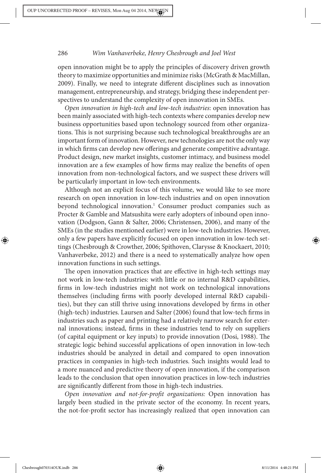open innovation might be to apply the principles of discovery driven growth theory to maximize opportunities and minimize risks (McGrath & MacMillan, 2009). Finally, we need to integrate different disciplines such as innovation management, entrepreneurship, and strategy, bridging these independent perspectives to understand the complexity of open innovation in SMEs.

Open innovation in high-tech and low-tech industries: open innovation has been mainly associated with high-tech contexts where companies develop new business opportunities based upon technology sourced from other organizations. This is not surprising because such technological breakthroughs are an important form of innovation. However, new technologies are not the only way in which firms can develop new offerings and generate competitive advantage. Product design, new market insights, customer intimacy, and business model innovation are a few examples of how firms may realize the benefits of open innovation from non-technological factors, and we suspect these drivers will be particularly important in low-tech environments.

Although not an explicit focus of this volume, we would like to see more research on open innovation in low-tech industries and on open innovation beyond technological innovation.<sup>1</sup> Consumer product companies such as Procter & Gamble and Matsushita were early adopters of inbound open innovation (Dodgson, Gann & Salter, 2006; Christensen, 2006), and many of the SMEs (in the studies mentioned earlier) were in low-tech industries. However, only a few papers have explicitly focused on open innovation in low-tech settings (Chesbrough & Crowther, 2006; Spithoven, Clarysse & Knockaert, 2010; Vanhaverbeke, 2012) and there is a need to systematically analyze how open innovation functions in such settings.

The open innovation practices that are effective in high-tech settings may not work in low-tech industries: with little or no internal R&D capabilities, firms in low-tech industries might not work on technological innovations themselves (including firms with poorly developed internal R&D capabilities), but they can still thrive using innovations developed by firms in other (high-tech) industries. Laursen and Salter (2006) found that low-tech firms in industries such as paper and printing had a relatively narrow search for external innovations; instead, firms in these industries tend to rely on suppliers (of capital equipment or key inputs) to provide innovation (Dosi, 1988). The strategic logic behind successful applications of open innovation in low-tech industries should be analyzed in detail and compared to open innovation practices in companies in high-tech industries. Such insights would lead to a more nuanced and predictive theory of open innovation, if the comparison leads to the conclusion that open innovation practices in low-tech industries are significantly different from those in high-tech industries.

Open innovation and not-for-profit organizations: Open innovation has largely been studied in the private sector of the economy. In recent years, the not-for-profit sector has increasingly realized that open innovation can

Chesbrough070314OUK.indb 286 8/11/2014 4:48:21 PM

◈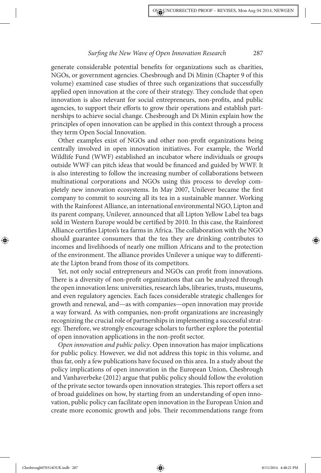generate considerable potential benefits for organizations such as charities, NGOs, or government agencies. Chesbrough and Di Minin (Chapter 9 of this volume) examined case studies of three such organizations that successfully applied open innovation at the core of their strategy. They conclude that open innovation is also relevant for social entrepreneurs, non-profits, and public agencies, to support their efforts to grow their operations and establish partnerships to achieve social change. Chesbrough and Di Minin explain how the principles of open innovation can be applied in this context through a process they term Open Social Innovation.

Other examples exist of NGOs and other non-profit organizations being centrally involved in open innovation initiatives. For example, the World Wildlife Fund (WWF) established an incubator where individuals or groups outside WWF can pitch ideas that would be financed and guided by WWF. It is also interesting to follow the increasing number of collaborations between multinational corporations and NGOs using this process to develop completely new innovation ecosystems. In May 2007, Unilever became the first company to commit to sourcing all its tea in a sustainable manner. Working with the Rainforest Alliance, an international environmental NGO, Lipton and its parent company, Unilever, announced that all Lipton Yellow Label tea bags sold in Western Europe would be certified by 2010. In this case, the Rainforest Alliance certifies Lipton's tea farms in Africa. The collaboration with the NGO should guarantee consumers that the tea they are drinking contributes to incomes and livelihoods of nearly one million Africans and to the protection of the environment. The alliance provides Unilever a unique way to differentiate the Lipton brand from those of its competitors.

Yet, not only social entrepreneurs and NGOs can profit from innovations. There is a diversity of non-profit organizations that can be analyzed through the open innovation lens: universities, research labs, libraries, trusts, museums, and even regulatory agencies. Each faces considerable strategic challenges for growth and renewal, and—as with companies—open innovation may provide a way forward. As with companies, non-profit organizations are increasingly recognizing the crucial role of partnerships in implementing a successful strategy. Therefore, we strongly encourage scholars to further explore the potential of open innovation applications in the non-profit sector.

Open innovation and public policy. Open innovation has major implications for public policy. However, we did not address this topic in this volume, and thus far, only a few publications have focused on this area. In a study about the policy implications of open innovation in the European Union, Chesbrough and Vanhaverbeke (2012) argue that public policy should follow the evolution of the private sector towards open innovation strategies. This report offers a set of broad guidelines on how, by starting from an understanding of open innovation, public policy can facilitate open innovation in the European Union and create more economic growth and jobs. Their recommendations range from

Chesbrough070314OUK.indb 287 8/11/2014 4:48:21 PM

◈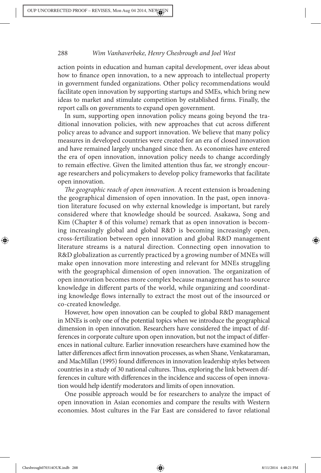action points in education and human capital development, over ideas about how to finance open innovation, to a new approach to intellectual property in government funded organizations. Other policy recommendations would facilitate open innovation by supporting startups and SMEs, which bring new ideas to market and stimulate competition by established firms. Finally, the report calls on governments to expand open government.

In sum, supporting open innovation policy means going beyond the traditional innovation policies, with new approaches that cut across different policy areas to advance and support innovation. We believe that many policy measures in developed countries were created for an era of closed innovation and have remained largely unchanged since then. As economies have entered the era of open innovation, innovation policy needs to change accordingly to remain effective. Given the limited attention thus far, we strongly encourage researchers and policymakers to develop policy frameworks that facilitate open innovation.

The geographic reach of open innovation. A recent extension is broadening the geographical dimension of open innovation. In the past, open innovation literature focused on why external knowledge is important, but rarely considered where that knowledge should be sourced. Asakawa, Song and Kim (Chapter 8 of this volume) remark that as open innovation is becoming increasingly global and global R&D is becoming increasingly open, cross-fertilization between open innovation and global R&D management literature streams is a natural direction. Connecting open innovation to R&D globalization as currently practiced by a growing number of MNEs will make open innovation more interesting and relevant for MNEs struggling with the geographical dimension of open innovation. The organization of open innovation becomes more complex because management has to source knowledge in different parts of the world, while organizing and coordinating knowledge flows internally to extract the most out of the insourced or co-created knowledge.

However, how open innovation can be coupled to global R&D management in MNEs is only one of the potential topics when we introduce the geographical dimension in open innovation. Researchers have considered the impact of differences in corporate culture upon open innovation, but not the impact of differences in national culture. Earlier innovation researchers have examined how the latter differences affect firm innovation processes, as when Shane, Venkataraman, and MacMillan (1995) found differences in innovation leadership styles between countries in a study of 30 national cultures. Thus, exploring the link between differences in culture with differences in the incidence and success of open innovation would help identify moderators and limits of open innovation.

One possible approach would be for researchers to analyze the impact of open innovation in Asian economies and compare the results with Western economies. Most cultures in the Far East are considered to favor relational

Chesbrough070314OUK.indb 288 8/11/2014 4:48:21 PM

◈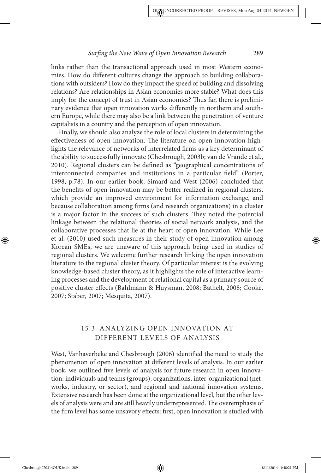links rather than the transactional approach used in most Western economies. How do different cultures change the approach to building collaborations with outsiders? How do they impact the speed of building and dissolving relations? Are relationships in Asian economies more stable? What does this imply for the concept of trust in Asian economies? Thus far, there is preliminary evidence that open innovation works differently in northern and southern Europe, while there may also be a link between the penetration of venture capitalists in a country and the perception of open innovation.

Finally, we should also analyze the role of local clusters in determining the effectiveness of open innovation. The literature on open innovation highlights the relevance of networks of interrelated firms as a key determinant of the ability to successfully innovate (Chesbrough, 2003b; van de Vrande et al., 2010). Regional clusters can be defined as "geographical concentrations of interconnected companies and institutions in a particular field" (Porter, 1998, p.78). In our earlier book, Simard and West (2006) concluded that the benefits of open innovation may be better realized in regional clusters, which provide an improved environment for information exchange, and because collaboration among firms (and research organizations) in a cluster is a major factor in the success of such clusters. They noted the potential linkage between the relational theories of social network analysis, and the collaborative processes that lie at the heart of open innovation. While Lee et al. (2010) used such measures in their study of open innovation among Korean SMEs, we are unaware of this approach being used in studies of regional clusters. We welcome further research linking the open innovation literature to the regional cluster theory. Of particular interest is the evolving knowledge-based cluster theory, as it highlights the role of interactive learning processes and the development of relational capital as a primary source of positive cluster effects (Bahlmann & Huysman, 2008; Bathelt, 2008; Cooke, 2007; Staber, 2007; Mesquita, 2007).

# 15.3 ANALYZING OPEN INNOVATION AT DIFFERENT LEVELS OF ANALYSIS

West, Vanhaverbeke and Chesbrough (2006) identified the need to study the phenomenon of open innovation at different levels of analysis. In our earlier book, we outlined five levels of analysis for future research in open innovation: individuals and teams (groups), organizations, inter-organizational (networks, industry, or sector), and regional and national innovation systems. Extensive research has been done at the organizational level, but the other levels of analysis were and are still heavily underrepresented. The overemphasis of the firm level has some unsavory effects: first, open innovation is studied with

Chesbrough070314OUK.indb 289 8/11/2014 4:48:21 PM

◈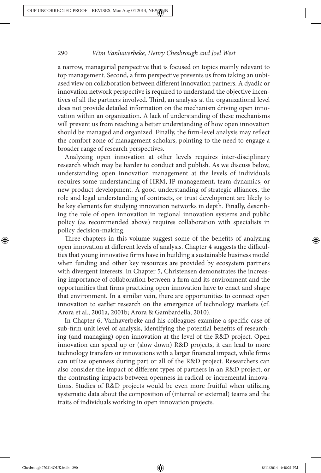a narrow, managerial perspective that is focused on topics mainly relevant to top management. Second, a firm perspective prevents us from taking an unbiased view on collaboration between different innovation partners. A dyadic or innovation network perspective is required to understand the objective incentives of all the partners involved. Third, an analysis at the organizational level does not provide detailed information on the mechanism driving open innovation within an organization. A lack of understanding of these mechanisms will prevent us from reaching a better understanding of how open innovation should be managed and organized. Finally, the firm-level analysis may reflect the comfort zone of management scholars, pointing to the need to engage a broader range of research perspectives.

Analyzing open innovation at other levels requires inter-disciplinary research which may be harder to conduct and publish. As we discuss below, understanding open innovation management at the levels of individuals requires some understanding of HRM, IP management, team dynamics, or new product development. A good understanding of strategic alliances, the role and legal understanding of contracts, or trust development are likely to be key elements for studying innovation networks in depth. Finally, describing the role of open innovation in regional innovation systems and public policy (as recommended above) requires collaboration with specialists in policy decision-making.

Three chapters in this volume suggest some of the benefits of analyzing open innovation at different levels of analysis. Chapter 4 suggests the difficulties that young innovative firms have in building a sustainable business model when funding and other key resources are provided by ecosystem partners with divergent interests. In Chapter 5, Christensen demonstrates the increasing importance of collaboration between a firm and its environment and the opportunities that firms practicing open innovation have to enact and shape that environment. In a similar vein, there are opportunities to connect open innovation to earlier research on the emergence of technology markets (cf. Arora et al., 2001a, 2001b; Arora & Gambardella, 2010).

In Chapter 6, Vanhaverbeke and his colleagues examine a specific case of sub-firm unit level of analysis, identifying the potential benefits of researching (and managing) open innovation at the level of the R&D project. Open innovation can speed up or (slow down) R&D projects, it can lead to more technology transfers or innovations with a larger financial impact, while firms can utilize openness during part or all of the R&D project. Researchers can also consider the impact of different types of partners in an R&D project, or the contrasting impacts between openness in radical or incremental innovations. Studies of R&D projects would be even more fruitful when utilizing systematic data about the composition of (internal or external) teams and the traits of individuals working in open innovation projects.

◈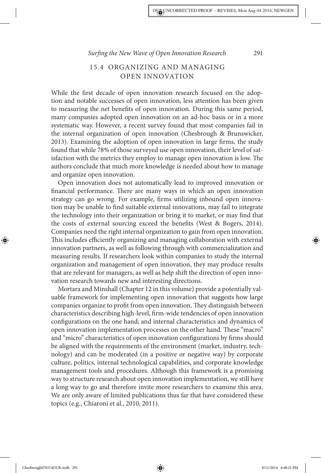# 15.4 ORGANIZING AND MANAGING OPEN INNOVATION

While the first decade of open innovation research focused on the adoption and notable successes of open innovation, less attention has been given to measuring the net benefits of open innovation. During this same period, many companies adopted open innovation on an ad-hoc basis or in a more systematic way. However, a recent survey found that most companies fail in the internal organization of open innovation (Chesbrough & Brunswicker,  $2013$ ). Examining the adoption of open innovation in large firms, the study found that while 78% of those surveyed use open innovation, their level of satisfaction with the metrics they employ to manage open innovation is low. The authors conclude that much more knowledge is needed about how to manage and organize open innovation.

Open innovation does not automatically lead to improved innovation or financial performance. There are many ways in which an open innovation strategy can go wrong. For example, firms utilizing inbound open innovation may be unable to find suitable external innovations, may fail to integrate the technology into their organization or bring it to market, or may find that the costs of external sourcing exceed the benefits (West & Bogers, 2014). Companies need the right internal organization to gain from open innovation. This includes efficiently organizing and managing collaboration with external innovation partners, as well as following through with commercialization and measuring results. If researchers look within companies to study the internal organization and management of open innovation, they may produce results that are relevant for managers, as well as help shift the direction of open innovation research towards new and interesting directions.

Mortara and Minshall (Chapter 12 in this volume) provide a potentially valuable framework for implementing open innovation that suggests how large companies organize to profit from open innovation. They distinguish between characteristics describing high-level, firm-wide tendencies of open innovation configurations on the one hand; and internal characteristics and dynamics of open innovation implementation processes on the other hand. These "macro" and "micro" characteristics of open innovation configurations by firms should be aligned with the requirements of the environment (market, industry, technology) and can be moderated (in a positive or negative way) by corporate culture, politics, internal technological capabilities, and corporate knowledge management tools and procedures. Although this framework is a promising way to structure research about open innovation implementation, we still have a long way to go and therefore invite more researchers to examine this area. We are only aware of limited publications thus far that have considered these topics (e.g., Chiaroni et al., 2010, 2011).

◈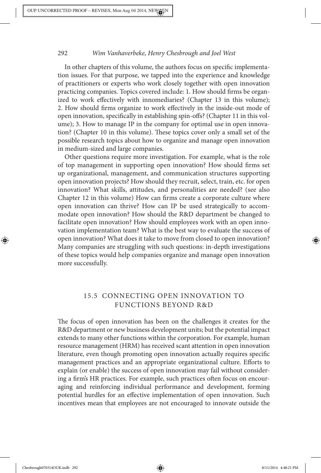In other chapters of this volume, the authors focus on specific implementation issues. For that purpose, we tapped into the experience and knowledge of practitioners or experts who work closely together with open innovation practicing companies. Topics covered include: 1. How should firms be organized to work effectively with innomediaries? (Chapter 13 in this volume); 2. How should firms organize to work effectively in the inside-out mode of open innovation, specifically in establishing spin-offs? (Chapter 11 in this volume); 3. How to manage IP in the company for optimal use in open innovation? (Chapter 10 in this volume). These topics cover only a small set of the possible research topics about how to organize and manage open innovation in medium-sized and large companies.

Other questions require more investigation. For example, what is the role of top management in supporting open innovation? How should firms set up organizational, management, and communication structures supporting open innovation projects? How should they recruit, select, train, etc. for open innovation? What skills, attitudes, and personalities are needed? (see also Chapter 12 in this volume) How can firms create a corporate culture where open innovation can thrive? How can IP be used strategically to accommodate open innovation? How should the R&D department be changed to facilitate open innovation? How should employees work with an open innovation implementation team? What is the best way to evaluate the success of open innovation? What does it take to move from closed to open innovation? Many companies are struggling with such questions: in-depth investigations of these topics would help companies organize and manage open innovation more successfully.

# 15.5 CONNECTING OPEN INNOVATION TO FUNCTIONS BEYOND R&D

The focus of open innovation has been on the challenges it creates for the R&D department or new business development units; but the potential impact extends to many other functions within the corporation. For example, human resource management (HRM) has received scant attention in open innovation literature, even though promoting open innovation actually requires specific management practices and an appropriate organizational culture. Efforts to explain (or enable) the success of open innovation may fail without considering a firm's HR practices. For example, such practices often focus on encouraging and reinforcing individual performance and development, forming potential hurdles for an effective implementation of open innovation. Such incentives mean that employees are not encouraged to innovate outside the

◈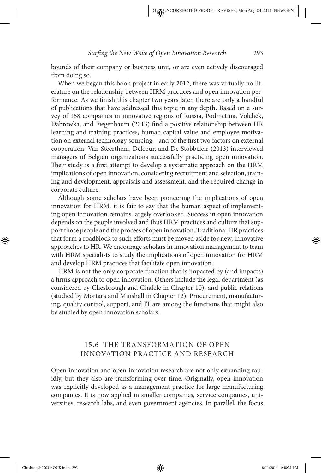bounds of their company or business unit, or are even actively discouraged from doing so.

When we began this book project in early 2012, there was virtually no literature on the relationship between HRM practices and open innovation performance. As we finish this chapter two years later, there are only a handful of publications that have addressed this topic in any depth. Based on a survey of 158 companies in innovative regions of Russia, Podmetina, Volchek, Dabrowka, and Fiegenbaum (2013) find a positive relationship between HR learning and training practices, human capital value and employee motivation on external technology sourcing—and of the first two factors on external cooperation. Van Steerthem, Delcour, and De Stobbeleir (2013) interviewed managers of Belgian organizations successfully practicing open innovation. Their study is a first attempt to develop a systematic approach on the HRM implications of open innovation, considering recruitment and selection, training and development, appraisals and assessment, and the required change in corporate culture.

Although some scholars have been pioneering the implications of open innovation for HRM, it is fair to say that the human aspect of implementing open innovation remains largely overlooked. Success in open innovation depends on the people involved and thus HRM practices and culture that support those people and the process of open innovation. Traditional HR practices that form a roadblock to such efforts must be moved aside for new, innovative approaches to HR. We encourage scholars in innovation management to team with HRM specialists to study the implications of open innovation for HRM and develop HRM practices that facilitate open innovation.

HRM is not the only corporate function that is impacted by (and impacts) a firm's approach to open innovation. Others include the legal department (as considered by Chesbrough and Ghafele in Chapter 10), and public relations (studied by Mortara and Minshall in Chapter 12). Procurement, manufacturing, quality control, support, and IT are among the functions that might also be studied by open innovation scholars.

# 15.6 THE TRANSFORMATION OF OPEN INNOVATION PRACTICE AND RESEARCH

Open innovation and open innovation research are not only expanding rapidly, but they also are transforming over time. Originally, open innovation was explicitly developed as a management practice for large manufacturing companies. It is now applied in smaller companies, service companies, universities, research labs, and even government agencies. In parallel, the focus

◈